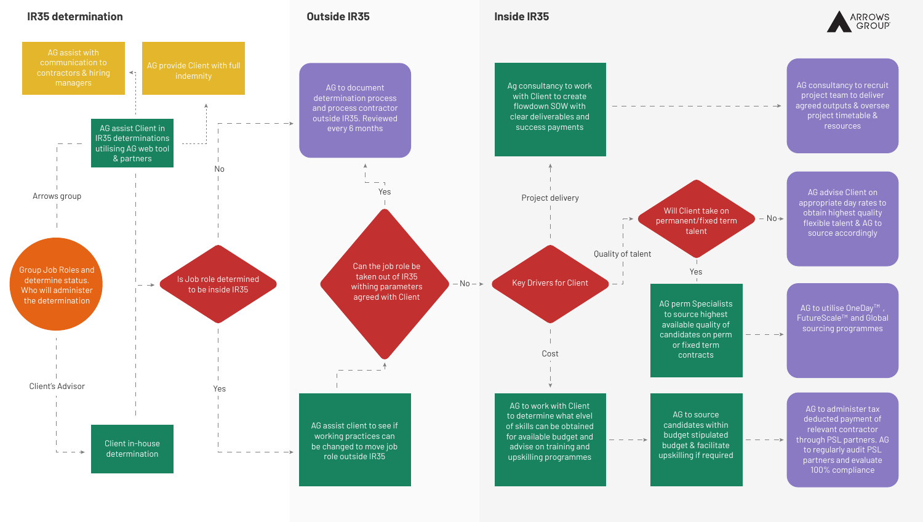## **IR35 determination Outside IR35 Inside IR35**